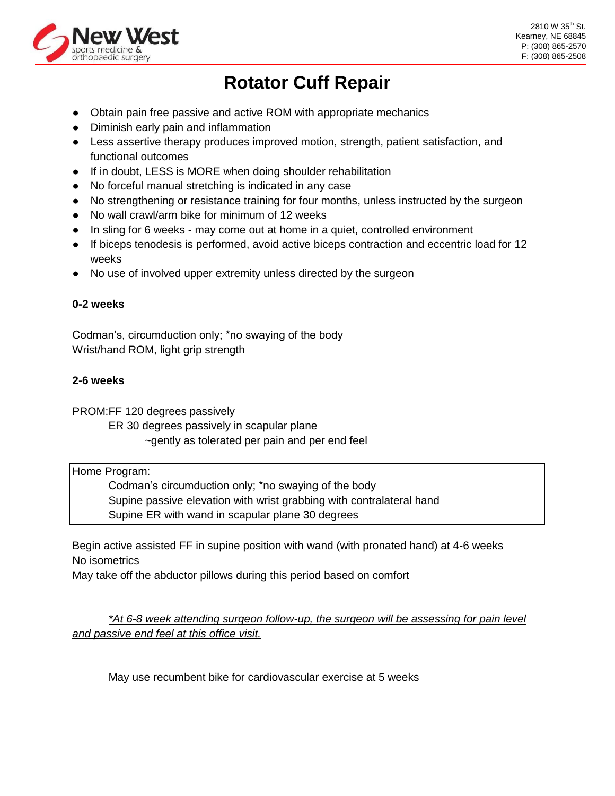

# **Rotator Cuff Repair**

- Obtain pain free passive and active ROM with appropriate mechanics
- Diminish early pain and inflammation
- Less assertive therapy produces improved motion, strength, patient satisfaction, and functional outcomes
- If in doubt, LESS is MORE when doing shoulder rehabilitation
- No forceful manual stretching is indicated in any case
- No strengthening or resistance training for four months, unless instructed by the surgeon
- No wall crawl/arm bike for minimum of 12 weeks
- In sling for 6 weeks may come out at home in a quiet, controlled environment
- If biceps tenodesis is performed, avoid active biceps contraction and eccentric load for 12 weeks
- No use of involved upper extremity unless directed by the surgeon

# **0-2 weeks**

Codman's, circumduction only; \*no swaying of the body Wrist/hand ROM, light grip strength

# **2-6 weeks**

PROM:FF 120 degrees passively

ER 30 degrees passively in scapular plane

~gently as tolerated per pain and per end feel

Home Program:

Codman's circumduction only; \*no swaying of the body Supine passive elevation with wrist grabbing with contralateral hand Supine ER with wand in scapular plane 30 degrees

Begin active assisted FF in supine position with wand (with pronated hand) at 4-6 weeks No isometrics

May take off the abductor pillows during this period based on comfort

*\*At 6-8 week attending surgeon follow-up, the surgeon will be assessing for pain level and passive end feel at this office visit.*

May use recumbent bike for cardiovascular exercise at 5 weeks